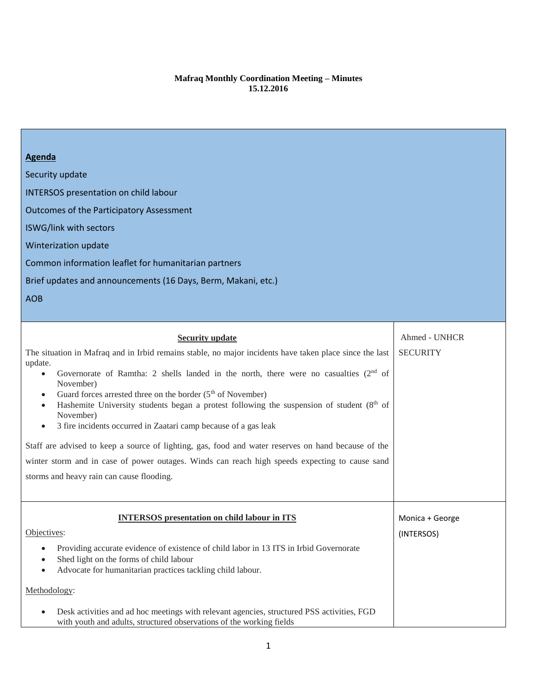## **Mafraq Monthly Coordination Meeting – Minutes 15.12.2016**

| <b>Agenda</b><br>Security update<br><b>INTERSOS</b> presentation on child labour<br><b>Outcomes of the Participatory Assessment</b><br>ISWG/link with sectors<br>Winterization update<br>Common information leaflet for humanitarian partners<br>Brief updates and announcements (16 Days, Berm, Makani, etc.)<br><b>AOB</b>                                                                                                                                                                                                                                                                                                                                                                                                                                                                                                       |                                  |
|------------------------------------------------------------------------------------------------------------------------------------------------------------------------------------------------------------------------------------------------------------------------------------------------------------------------------------------------------------------------------------------------------------------------------------------------------------------------------------------------------------------------------------------------------------------------------------------------------------------------------------------------------------------------------------------------------------------------------------------------------------------------------------------------------------------------------------|----------------------------------|
| <b>Security update</b><br>The situation in Mafraq and in Irbid remains stable, no major incidents have taken place since the last<br>update.<br>Governorate of Ramtha: 2 shells landed in the north, there were no casualties (2 <sup>nd</sup> of<br>$\bullet$<br>November)<br>Guard forces arrested three on the border $(5th$ of November)<br>$\bullet$<br>Hashemite University students began a protest following the suspension of student (8 <sup>th</sup> of<br>$\bullet$<br>November)<br>3 fire incidents occurred in Zaatari camp because of a gas leak<br>$\bullet$<br>Staff are advised to keep a source of lighting, gas, food and water reserves on hand because of the<br>winter storm and in case of power outages. Winds can reach high speeds expecting to cause sand<br>storms and heavy rain can cause flooding. | Ahmed - UNHCR<br><b>SECURITY</b> |
| <b>INTERSOS</b> presentation on child labour in ITS<br>Objectives:<br>Providing accurate evidence of existence of child labor in 13 ITS in Irbid Governorate<br>$\bullet$<br>Shed light on the forms of child labour<br>Advocate for humanitarian practices tackling child labour.<br>$\bullet$<br>Methodology:<br>Desk activities and ad hoc meetings with relevant agencies, structured PSS activities, FGD<br>$\bullet$<br>with youth and adults, structured observations of the working fields                                                                                                                                                                                                                                                                                                                                 | Monica + George<br>(INTERSOS)    |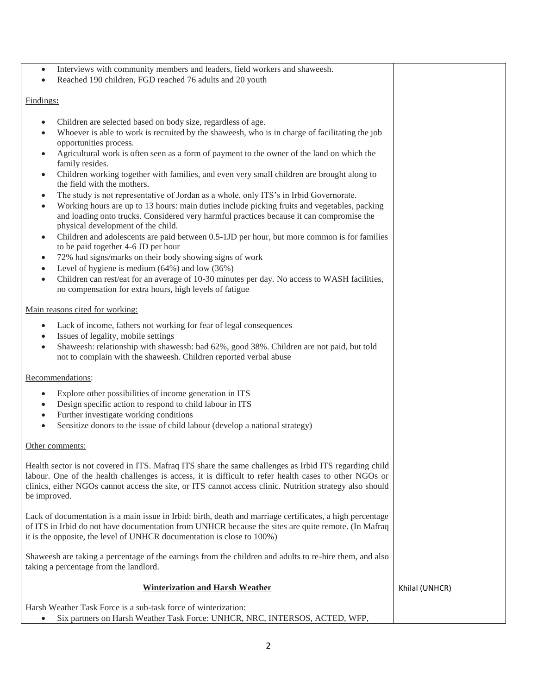- Interviews with community members and leaders, field workers and shaweesh.
- Reached 190 children, FGD reached 76 adults and 20 youth

## Findings**:**

- Children are selected based on body size, regardless of age.
- Whoever is able to work is recruited by the shaweesh, who is in charge of facilitating the job opportunities process.
- Agricultural work is often seen as a form of payment to the owner of the land on which the family resides.
- Children working together with families, and even very small children are brought along to the field with the mothers.
- The study is not representative of Jordan as a whole, only ITS's in Irbid Governorate.
- Working hours are up to 13 hours: main duties include picking fruits and vegetables, packing and loading onto trucks. Considered very harmful practices because it can compromise the physical development of the child.
- Children and adolescents are paid between 0.5-1JD per hour, but more common is for families to be paid together 4-6 JD per hour
- 72% had signs/marks on their body showing signs of work
- Level of hygiene is medium (64%) and low (36%)
- Children can rest/eat for an average of 10-30 minutes per day. No access to WASH facilities, no compensation for extra hours, high levels of fatigue

#### Main reasons cited for working:

- Lack of income, fathers not working for fear of legal consequences
- Issues of legality, mobile settings
- Shaweesh: relationship with shawessh: bad 62%, good 38%. Children are not paid, but told not to complain with the shaweesh. Children reported verbal abuse

## Recommendations:

- Explore other possibilities of income generation in ITS
- Design specific action to respond to child labour in ITS
- Further investigate working conditions
- Sensitize donors to the issue of child labour (develop a national strategy)

#### Other comments:

Health sector is not covered in ITS. Mafraq ITS share the same challenges as Irbid ITS regarding child labour. One of the health challenges is access, it is difficult to refer health cases to other NGOs or clinics, either NGOs cannot access the site, or ITS cannot access clinic. Nutrition strategy also should be improved.

Lack of documentation is a main issue in Irbid: birth, death and marriage certificates, a high percentage of ITS in Irbid do not have documentation from UNHCR because the sites are quite remote. (In Mafraq it is the opposite, the level of UNHCR documentation is close to 100%)

Shaweesh are taking a percentage of the earnings from the children and adults to re-hire them, and also taking a percentage from the landlord.

| <b>Winterization and Harsh Weather</b>                                      | Khilal (UNHCR) |
|-----------------------------------------------------------------------------|----------------|
| Harsh Weather Task Force is a sub-task force of winterization:              |                |
| Six partners on Harsh Weather Task Force: UNHCR, NRC, INTERSOS, ACTED, WFP, |                |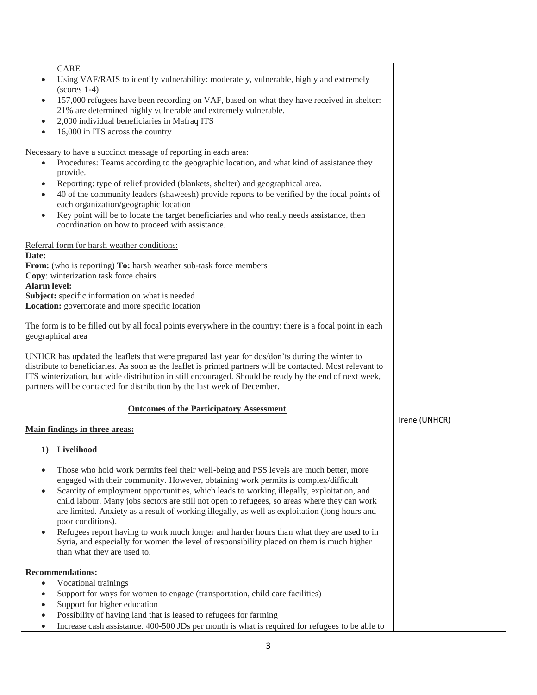| <b>CARE</b><br>Using VAF/RAIS to identify vulnerability: moderately, vulnerable, highly and extremely<br>$(scores 1-4)$<br>157,000 refugees have been recording on VAF, based on what they have received in shelter:<br>$\bullet$<br>21% are determined highly vulnerable and extremely vulnerable.<br>2,000 individual beneficiaries in Mafraq ITS<br>$\bullet$<br>16,000 in ITS across the country<br>$\bullet$                                                                                                                                                                                                                                                                                                                      |               |
|----------------------------------------------------------------------------------------------------------------------------------------------------------------------------------------------------------------------------------------------------------------------------------------------------------------------------------------------------------------------------------------------------------------------------------------------------------------------------------------------------------------------------------------------------------------------------------------------------------------------------------------------------------------------------------------------------------------------------------------|---------------|
| Necessary to have a succinct message of reporting in each area:<br>Procedures: Teams according to the geographic location, and what kind of assistance they<br>provide.<br>Reporting: type of relief provided (blankets, shelter) and geographical area.<br>$\bullet$<br>40 of the community leaders (shaweesh) provide reports to be verified by the focal points of<br>$\bullet$<br>each organization/geographic location<br>Key point will be to locate the target beneficiaries and who really needs assistance, then<br>$\bullet$<br>coordination on how to proceed with assistance.                                                                                                                                              |               |
| Referral form for harsh weather conditions:<br>Date:<br>From: (who is reporting) To: harsh weather sub-task force members<br>Copy: winterization task force chairs<br><b>Alarm level:</b><br>Subject: specific information on what is needed<br>Location: governorate and more specific location                                                                                                                                                                                                                                                                                                                                                                                                                                       |               |
| The form is to be filled out by all focal points everywhere in the country: there is a focal point in each<br>geographical area<br>UNHCR has updated the leaflets that were prepared last year for dos/don'ts during the winter to<br>distribute to beneficiaries. As soon as the leaflet is printed partners will be contacted. Most relevant to<br>ITS winterization, but wide distribution in still encouraged. Should be ready by the end of next week,<br>partners will be contacted for distribution by the last week of December.                                                                                                                                                                                               |               |
| <b>Outcomes of the Participatory Assessment</b>                                                                                                                                                                                                                                                                                                                                                                                                                                                                                                                                                                                                                                                                                        | Irene (UNHCR) |
| Main findings in three areas:                                                                                                                                                                                                                                                                                                                                                                                                                                                                                                                                                                                                                                                                                                          |               |
| 1) Livelihood                                                                                                                                                                                                                                                                                                                                                                                                                                                                                                                                                                                                                                                                                                                          |               |
| Those who hold work permits feel their well-being and PSS levels are much better, more<br>$\bullet$<br>engaged with their community. However, obtaining work permits is complex/difficult<br>Scarcity of employment opportunities, which leads to working illegally, exploitation, and<br>child labour. Many jobs sectors are still not open to refugees, so areas where they can work<br>are limited. Anxiety as a result of working illegally, as well as exploitation (long hours and<br>poor conditions).<br>Refugees report having to work much longer and harder hours than what they are used to in<br>Syria, and especially for women the level of responsibility placed on them is much higher<br>than what they are used to. |               |
| <b>Recommendations:</b>                                                                                                                                                                                                                                                                                                                                                                                                                                                                                                                                                                                                                                                                                                                |               |
| Vocational trainings<br>$\bullet$<br>Support for ways for women to engage (transportation, child care facilities)<br>$\bullet$<br>Support for higher education<br>$\bullet$<br>Possibility of having land that is leased to refugees for farming<br>$\bullet$<br>Increase cash assistance. 400-500 JDs per month is what is required for refugees to be able to<br>$\bullet$                                                                                                                                                                                                                                                                                                                                                           |               |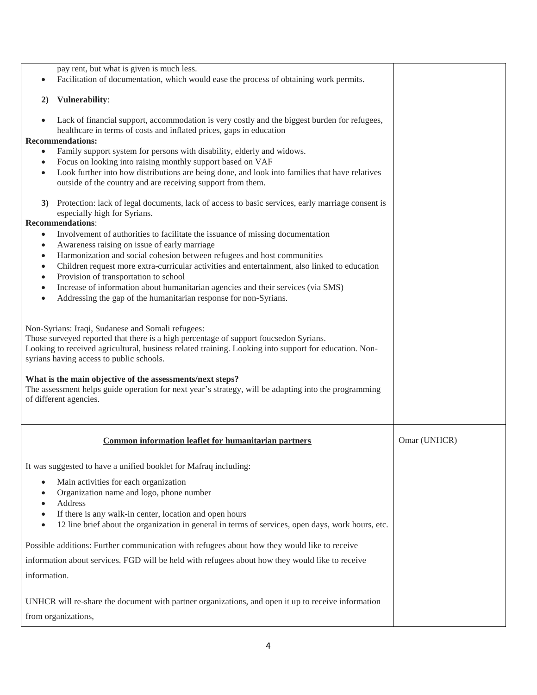| pay rent, but what is given is much less.<br>Facilitation of documentation, which would ease the process of obtaining work permits.                                                                                                                                                                                                                                                                                                                                                                                                                                               |              |
|-----------------------------------------------------------------------------------------------------------------------------------------------------------------------------------------------------------------------------------------------------------------------------------------------------------------------------------------------------------------------------------------------------------------------------------------------------------------------------------------------------------------------------------------------------------------------------------|--------------|
| Vulnerability:<br>2)                                                                                                                                                                                                                                                                                                                                                                                                                                                                                                                                                              |              |
| Lack of financial support, accommodation is very costly and the biggest burden for refugees,<br>$\bullet$<br>healthcare in terms of costs and inflated prices, gaps in education<br><b>Recommendations:</b><br>Family support system for persons with disability, elderly and widows.<br>Focus on looking into raising monthly support based on VAF<br>Look further into how distributions are being done, and look into families that have relatives<br>$\bullet$<br>outside of the country and are receiving support from them.                                                 |              |
| Protection: lack of legal documents, lack of access to basic services, early marriage consent is<br>3)<br>especially high for Syrians.<br><b>Recommendations:</b>                                                                                                                                                                                                                                                                                                                                                                                                                 |              |
| Involvement of authorities to facilitate the issuance of missing documentation<br>$\bullet$<br>Awareness raising on issue of early marriage<br>$\bullet$<br>Harmonization and social cohesion between refugees and host communities<br>$\bullet$<br>Children request more extra-curricular activities and entertainment, also linked to education<br>$\bullet$<br>Provision of transportation to school<br>٠<br>Increase of information about humanitarian agencies and their services (via SMS)<br>Addressing the gap of the humanitarian response for non-Syrians.<br>$\bullet$ |              |
| Non-Syrians: Iraqi, Sudanese and Somali refugees:<br>Those surveyed reported that there is a high percentage of support foucsedon Syrians.<br>Looking to received agricultural, business related training. Looking into support for education. Non-<br>syrians having access to public schools.                                                                                                                                                                                                                                                                                   |              |
| What is the main objective of the assessments/next steps?<br>The assessment helps guide operation for next year's strategy, will be adapting into the programming<br>of different agencies.                                                                                                                                                                                                                                                                                                                                                                                       |              |
| Common information leaflet for humanitarian partners                                                                                                                                                                                                                                                                                                                                                                                                                                                                                                                              | Omar (UNHCR) |
| It was suggested to have a unified booklet for Mafraq including:                                                                                                                                                                                                                                                                                                                                                                                                                                                                                                                  |              |
| Main activities for each organization<br>٠<br>Organization name and logo, phone number<br>Address<br>If there is any walk-in center, location and open hours<br>12 line brief about the organization in general in terms of services, open days, work hours, etc.<br>$\bullet$                                                                                                                                                                                                                                                                                                    |              |
| Possible additions: Further communication with refugees about how they would like to receive                                                                                                                                                                                                                                                                                                                                                                                                                                                                                      |              |
| information about services. FGD will be held with refugees about how they would like to receive                                                                                                                                                                                                                                                                                                                                                                                                                                                                                   |              |
| information.                                                                                                                                                                                                                                                                                                                                                                                                                                                                                                                                                                      |              |
| UNHCR will re-share the document with partner organizations, and open it up to receive information<br>from organizations,                                                                                                                                                                                                                                                                                                                                                                                                                                                         |              |